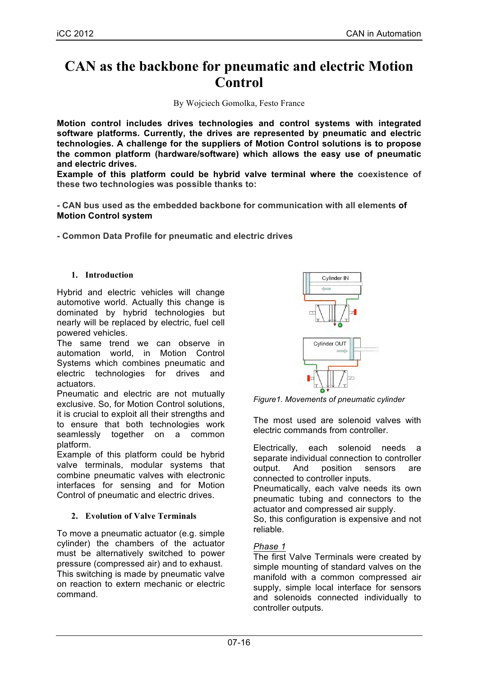# **CAN as the backbone for pneumatic and electric Motion Control**

By Wojciech Gomolka, Festo France

**Motion control includes drives technologies and control systems with integrated software platforms. Currently, the drives are represented by pneumatic and electric technologies. A challenge for the suppliers of Motion Control solutions is to propose the common platform (hardware/software) which allows the easy use of pneumatic and electric drives.**

**Example of this platform could be hybrid valve terminal where the coexistence of these two technologies was possible thanks to:**

**- CAN bus used as the embedded backbone for communication with all elements of Motion Control system**

**- Common Data Profile for pneumatic and electric drives**

#### **1. Introduction**

Hybrid and electric vehicles will change automotive world. Actually this change is dominated by hybrid technologies but nearly will be replaced by electric, fuel cell powered vehicles.

The same trend we can observe in automation world, in Motion Control Systems which combines pneumatic and electric technologies for drives and actuators.

Pneumatic and electric are not mutually exclusive. So, for Motion Control solutions, it is crucial to exploit all their strengths and to ensure that both technologies work seamlessly together on a common platform.

Example of this platform could be hybrid valve terminals, modular systems that combine pneumatic valves with electronic interfaces for sensing and for Motion Control of pneumatic and electric drives.

## **2. Evolution of Valve Terminals**

To move a pneumatic actuator (e.g. simple cylinder) the chambers of the actuator must be alternatively switched to power pressure (compressed air) and to exhaust. This switching is made by pneumatic valve on reaction to extern mechanic or electric command.



*Figure1. Movements of pneumatic cylinder*

The most used are solenoid valves with electric commands from controller.

Electrically, each solenoid needs a separate individual connection to controller output. And position sensors are connected to controller inputs.

Pneumatically, each valve needs its own pneumatic tubing and connectors to the actuator and compressed air supply.

So, this configuration is expensive and not reliable.

## *Phase 1*

The first Valve Terminals were created by simple mounting of standard valves on the manifold with a common compressed air supply, simple local interface for sensors and solenoids connected individually to controller outputs.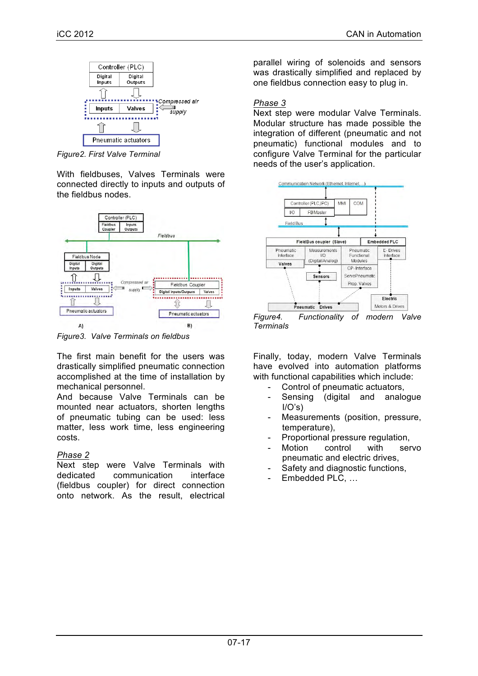

*Figure2. First Valve Terminal*

With fieldbuses, Valves Terminals were connected directly to inputs and outputs of the fieldbus nodes.



*Figure3. Valve Terminals on fieldbus*

The first main benefit for the users was drastically simplified pneumatic connection accomplished at the time of installation by mechanical personnel.

And because Valve Terminals can be mounted near actuators, shorten lengths of pneumatic tubing can be used: less matter, less work time, less engineering costs.

# *Phase 2*

Next step were Valve Terminals with dedicated communication interface (fieldbus coupler) for direct connection onto network. As the result, electrical parallel wiring of solenoids and sensors was drastically simplified and replaced by one fieldbus connection easy to plug in.

# *Phase 3*

Next step were modular Valve Terminals. Modular structure has made possible the integration of different (pneumatic and not pneumatic) functional modules and to configure Valve Terminal for the particular needs of the user's application.



*Figure4. Functionality of modern Valve Terminals*

Finally, today, modern Valve Terminals have evolved into automation platforms with functional capabilities which include:

- Control of pneumatic actuators,
- Sensing (digital and analogue  $I/O's$ )
- Measurements (position, pressure, temperature),
- Proportional pressure regulation,
- Motion control with servo pneumatic and electric drives,
- Safety and diagnostic functions,
- Embedded PLC, ...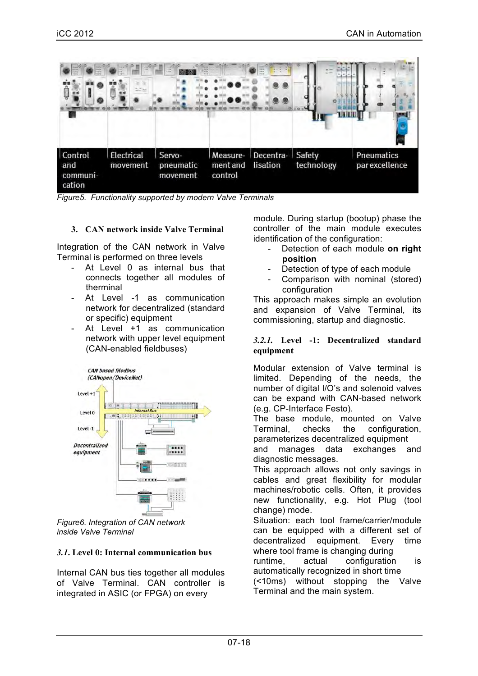

*Figure5. Functionality supported by modern Valve Terminals*

## **3. CAN network inside Valve Terminal**

Integration of the CAN network in Valve Terminal is performed on three levels

- At Level 0 as internal bus that connects together all modules of therminal
- At Level -1 as communication network for decentralized (standard or specific) equipment
- At Level +1 as communication network with upper level equipment (CAN-enabled fieldbuses)



*Figure6. Integration of CAN network inside Valve Terminal*

## *3.1***. Level 0: Internal communication bus**

Internal CAN bus ties together all modules of Valve Terminal. CAN controller is integrated in ASIC (or FPGA) on every

module. During startup (bootup) phase the controller of the main module executes identification of the configuration:

- Detection of each module on right **position**
- Detection of type of each module
- Comparison with nominal (stored) configuration

This approach makes simple an evolution and expansion of Valve Terminal, its commissioning, startup and diagnostic.

## *3.2.1.* **Level -1: Decentralized standard equipment**

Modular extension of Valve terminal is limited. Depending of the needs, the number of digital I/O's and solenoid valves can be expand with CAN-based network (e.g. CP-Interface Festo).

The base module, mounted on Valve Terminal, checks the configuration, parameterizes decentralized equipment

and manages data exchanges and diagnostic messages.

This approach allows not only savings in cables and great flexibility for modular machines/robotic cells. Often, it provides new functionality, e.g. Hot Plug (tool change) mode.

Situation: each tool frame/carrier/module can be equipped with a different set of decentralized equipment. Every time where tool frame is changing during

runtime, actual configuration is automatically recognized in short time (<10ms) without stopping the Valve

Terminal and the main system.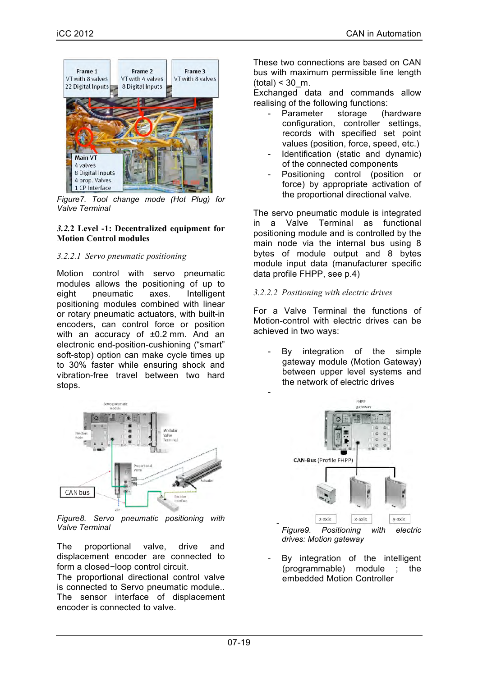

*Figure7. Tool change mode (Hot Plug) for Valve Terminal*

## *3.2.***2 Level -1: Decentralized equipment for Motion Control modules**

# *3.2.2.1 Servo pneumatic positioning*

Motion control with servo pneumatic modules allows the positioning of up to eight pneumatic axes. Intelligent positioning modules combined with linear or rotary pneumatic actuators, with built-in encoders, can control force or position with an accuracy of ±0.2 mm. And an electronic end-position-cushioning ("smart" soft-stop) option can make cycle times up to 30% faster while ensuring shock and vibration-free travel between two hard stops.



*Figure8. Servo pneumatic positioning with Valve Terminal*

The proportional valve, drive and displacement encoder are connected to form a closed−loop control circuit.

The proportional directional control valve is connected to Servo pneumatic module.. The sensor interface of displacement encoder is connected to valve.

These two connections are based on CAN bus with maximum permissible line length  $(total) < 30$  m.

Exchanged data and commands allow realising of the following functions:

- Parameter storage (hardware configuration, controller settings, records with specified set point values (position, force, speed, etc.)
- Identification (static and dynamic) of the connected components
- Positioning control (position or force) by appropriate activation of the proportional directional valve.

The servo pneumatic module is integrated in a Valve Terminal as functional positioning module and is controlled by the main node via the internal bus using 8 bytes of module output and 8 bytes module input data (manufacturer specific data profile FHPP, see p.4)

## *3.2.2.2 Positioning with electric drives*

-

-

For a Valve Terminal the functions of Motion-control with electric drives can be achieved in two ways:

By integration of the simple gateway module (Motion Gateway) between upper level systems and the network of electric drives



*drives: Motion gateway*

By integration of the intelligent (programmable) module ; the embedded Motion Controller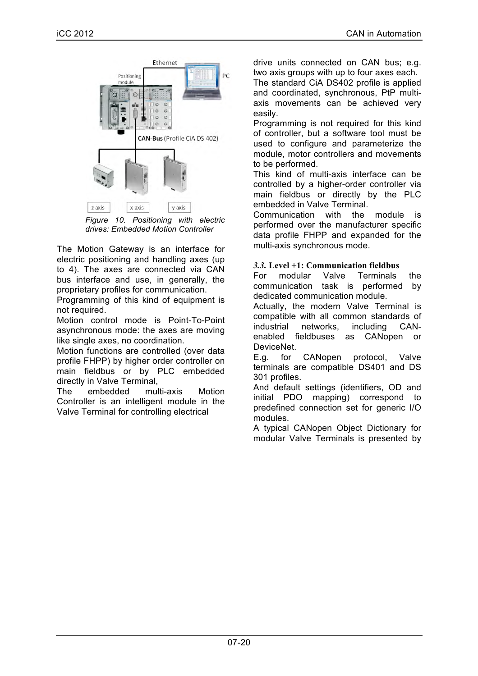

*Figure 10. Positioning with electric drives: Embedded Motion Controller*

The Motion Gateway is an interface for electric positioning and handling axes (up to 4). The axes are connected via CAN bus interface and use, in generally, the proprietary profiles for communication.

Programming of this kind of equipment is not required.

Motion control mode is Point-To-Point asynchronous mode: the axes are moving like single axes, no coordination.

Motion functions are controlled (over data profile FHPP) by higher order controller on main fieldbus or by PLC embedded directly in Valve Terminal,

The embedded multi-axis Motion Controller is an intelligent module in the Valve Terminal for controlling electrical

drive units connected on CAN bus; e.g. two axis groups with up to four axes each.

The standard CiA DS402 profile is applied and coordinated, synchronous, PtP multiaxis movements can be achieved very easily.

Programming is not required for this kind of controller, but a software tool must be used to configure and parameterize the module, motor controllers and movements to be performed.

This kind of multi-axis interface can be controlled by a higher-order controller via main fieldbus or directly by the PLC embedded in Valve Terminal.

Communication with the module is performed over the manufacturer specific data profile FHPP and expanded for the multi-axis synchronous mode.

# *3.3.* **Level +1: Communication fieldbus**

For modular Valve Terminals the communication task is performed by dedicated communication module.

Actually, the modern Valve Terminal is compatible with all common standards of industrial networks, including CANenabled fieldbuses as CANopen or DeviceNet.

E.g. for CANopen protocol, Valve terminals are compatible DS401 and DS 301 profiles.

And default settings (identifiers, OD and initial PDO mapping) correspond to predefined connection set for generic I/O modules.

A typical CANopen Object Dictionary for modular Valve Terminals is presented by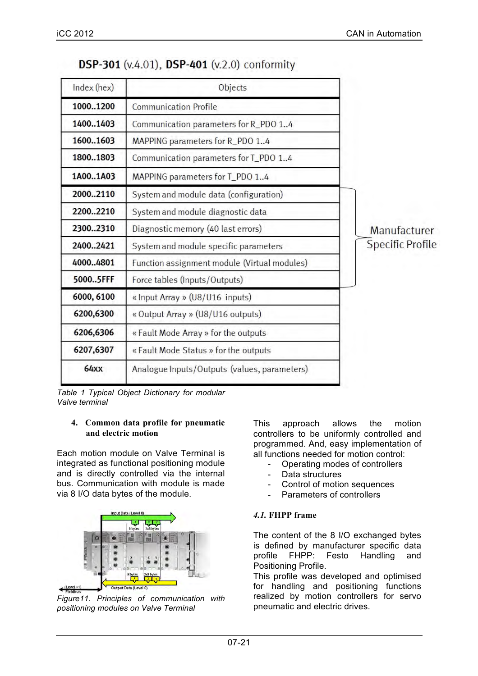| Index (hex) | Objects                                      |                  |
|-------------|----------------------------------------------|------------------|
| 10001200    | <b>Communication Profile</b>                 |                  |
| 14001403    | Communication parameters for R_PDO 14        |                  |
| 16001603    | MAPPING parameters for R_PDO 14              |                  |
| 18001803    | Communication parameters for T_PDO 14        |                  |
| 1A001A03    | MAPPING parameters for T_PDO 14              |                  |
| 20002110    | System and module data (configuration)       |                  |
| 22002210    | System and module diagnostic data            |                  |
| 23002310    | Diagnostic memory (40 last errors)           | Manufacturer     |
| 24002421    | System and module specific parameters        | Specific Profile |
| 40004801    | Function assignment module (Virtual modules) |                  |
| 50005FFF    | Force tables (Inputs/Outputs)                |                  |
| 6000, 6100  | « Input Array » (U8/U16 inputs)              |                  |
| 6200,6300   | « Output Array » (U8/U16 outputs)            |                  |
| 6206,6306   | « Fault Mode Array » for the outputs         |                  |
| 6207,6307   | « Fault Mode Status » for the outputs        |                  |
| <b>64xx</b> | Analogue Inputs/Outputs (values, parameters) |                  |

|  |  |  |  | DSP-301 (v.4.01), DSP-401 (v.2.0) conformity |
|--|--|--|--|----------------------------------------------|
|--|--|--|--|----------------------------------------------|

*Table 1 Typical Object Dictionary for modular Valve terminal*

#### **4. Common data profile for pneumatic and electric motion**

Each motion module on Valve Terminal is integrated as functional positioning module and is directly controlled via the internal bus. Communication with module is made via 8 I/O data bytes of the module.



*Figure11. Principles of communication with positioning modules on Valve Terminal*

This approach allows the motion controllers to be uniformly controlled and programmed. And, easy implementation of all functions needed for motion control:

- Operating modes of controllers
- Data structures
- Control of motion sequences
- Parameters of controllers

# *4.1.* **FHPP frame**

The content of the 8 I/O exchanged bytes is defined by manufacturer specific data profile FHPP: Festo Handling and Positioning Profile.

This profile was developed and optimised for handling and positioning functions realized by motion controllers for servo pneumatic and electric drives.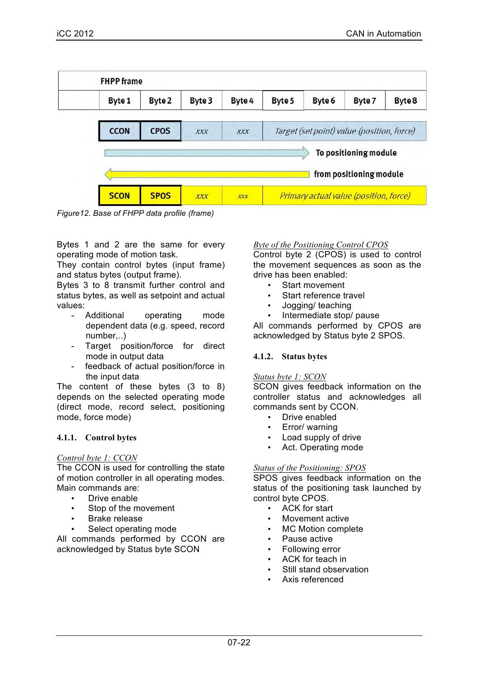| Byte 1      | Byte 2      | Byte 3     | Byte 4     | Byte 5                                     | Byte 6 | Byte 7                  | Byte 8 |
|-------------|-------------|------------|------------|--------------------------------------------|--------|-------------------------|--------|
| <b>CCON</b> | <b>CPOS</b> | <b>XXX</b> | <b>XXX</b> | Target (set point) value (position, force) |        |                         |        |
|             |             |            |            |                                            |        | To positioning module   |        |
|             |             |            |            |                                            |        | from positioning module |        |

*Figure12. Base of FHPP data profile (frame)*

Bytes 1 and 2 are the same for every operating mode of motion task.

They contain control bytes (input frame) and status bytes (output frame).

Bytes 3 to 8 transmit further control and status bytes, as well as setpoint and actual values:

- Additional operating mode dependent data (e.g. speed, record number,..)
- Target position/force for direct mode in output data
- feedback of actual position/force in the input data

The content of these bytes (3 to 8) depends on the selected operating mode (direct mode, record select, positioning mode, force mode)

# **4.1.1. Control bytes**

## *Control byte 1: CCON*

The CCON is used for controlling the state of motion controller in all operating modes. Main commands are:

- Drive enable
- Stop of the movement
- Brake release
- Select operating mode

All commands performed by CCON are acknowledged by Status byte SCON

## *Byte of the Positioning Control CPOS*

Control byte 2 (CPOS) is used to control the movement sequences as soon as the drive has been enabled:

- Start movement
- Start reference travel
- Jogging/ teaching
- Intermediate stop/ pause

All commands performed by CPOS are acknowledged by Status byte 2 SPOS.

## **4.1.2. Status bytes**

#### *Status byte 1: SCON*

SCON gives feedback information on the controller status and acknowledges all commands sent by CCON.

- Drive enabled
- Error/ warning
- Load supply of drive
- Act. Operating mode

## *Status of the Positioning: SPOS*

SPOS gives feedback information on the status of the positioning task launched by control byte CPOS.

- ACK for start
- Movement active
- MC Motion complete
- Pause active
- Following error
- ACK for teach in
- Still stand observation
- Axis referenced